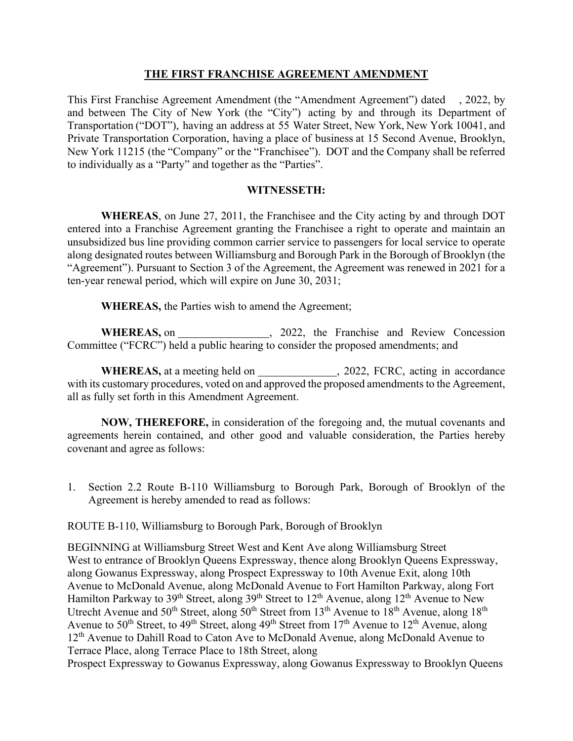## **THE FIRST FRANCHISE AGREEMENT AMENDMENT**

This First Franchise Agreement Amendment (the "Amendment Agreement") dated , 2022, by and between The City of New York (the "City") acting by and through its Department of Transportation ("DOT"), having an address at 55 Water Street, New York, New York 10041, and Private Transportation Corporation, having a place of business at 15 Second Avenue, Brooklyn, New York 11215 (the "Company" or the "Franchisee"). DOT and the Company shall be referred to individually as a "Party" and together as the "Parties".

## **WITNESSETH:**

**WHEREAS**, on June 27, 2011, the Franchisee and the City acting by and through DOT entered into a Franchise Agreement granting the Franchisee a right to operate and maintain an unsubsidized bus line providing common carrier service to passengers for local service to operate along designated routes between Williamsburg and Borough Park in the Borough of Brooklyn (the "Agreement"). Pursuant to Section 3 of the Agreement, the Agreement was renewed in 2021 for a ten-year renewal period, which will expire on June 30, 2031;

**WHEREAS,** the Parties wish to amend the Agreement;

WHEREAS, on  $2022$ , the Franchise and Review Concession Committee ("FCRC") held a public hearing to consider the proposed amendments; and

**WHEREAS,** at a meeting held on , 2022, FCRC, acting in accordance with its customary procedures, voted on and approved the proposed amendments to the Agreement, all as fully set forth in this Amendment Agreement.

**NOW, THEREFORE,** in consideration of the foregoing and, the mutual covenants and agreements herein contained, and other good and valuable consideration, the Parties hereby covenant and agree as follows:

1. Section 2.2 Route B-110 Williamsburg to Borough Park, Borough of Brooklyn of the Agreement is hereby amended to read as follows:

ROUTE B-110, Williamsburg to Borough Park, Borough of Brooklyn

BEGINNING at Williamsburg Street West and Kent Ave along Williamsburg Street West to entrance of Brooklyn Queens Expressway, thence along Brooklyn Queens Expressway, along Gowanus Expressway, along Prospect Expressway to 10th Avenue Exit, along 10th Avenue to McDonald Avenue, along McDonald Avenue to Fort Hamilton Parkway, along Fort Hamilton Parkway to 39<sup>th</sup> Street, along 39<sup>th</sup> Street to 12<sup>th</sup> Avenue, along 12<sup>th</sup> Avenue to New Utrecht Avenue and  $50^{th}$  Street, along  $50^{th}$  Street from  $13^{th}$  Avenue to  $18^{th}$  Avenue, along  $18^{th}$ Avenue to 50<sup>th</sup> Street, to 49<sup>th</sup> Street, along 49<sup>th</sup> Street from 17<sup>th</sup> Avenue to 12<sup>th</sup> Avenue, along 12<sup>th</sup> Avenue to Dahill Road to Caton Ave to McDonald Avenue, along McDonald Avenue to Terrace Place, along Terrace Place to 18th Street, along

Prospect Expressway to Gowanus Expressway, along Gowanus Expressway to Brooklyn Queens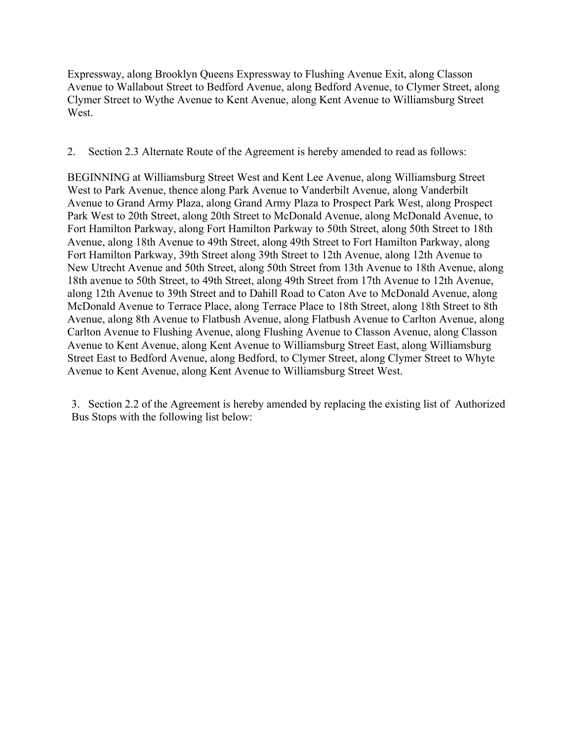Expressway, along Brooklyn Queens Expressway to Flushing Avenue Exit, along Classon Avenue to Wallabout Street to Bedford Avenue, along Bedford Avenue, to Clymer Street, along Clymer Street to Wythe Avenue to Kent Avenue, along Kent Avenue to Williamsburg Street West.

2. Section 2.3 Alternate Route of the Agreement is hereby amended to read as follows:

BEGINNING at Williamsburg Street West and Kent Lee Avenue, along Williamsburg Street West to Park Avenue, thence along Park Avenue to Vanderbilt Avenue, along Vanderbilt Avenue to Grand Army Plaza, along Grand Army Plaza to Prospect Park West, along Prospect Park West to 20th Street, along 20th Street to McDonald Avenue, along McDonald Avenue, to Fort Hamilton Parkway, along Fort Hamilton Parkway to 50th Street, along 50th Street to 18th Avenue, along 18th Avenue to 49th Street, along 49th Street to Fort Hamilton Parkway, along Fort Hamilton Parkway, 39th Street along 39th Street to 12th Avenue, along 12th Avenue to New Utrecht Avenue and 50th Street, along 50th Street from 13th Avenue to 18th Avenue, along 18th avenue to 50th Street, to 49th Street, along 49th Street from 17th Avenue to 12th Avenue, along 12th Avenue to 39th Street and to Dahill Road to Caton Ave to McDonald Avenue, along McDonald Avenue to Terrace Place, along Terrace Place to 18th Street, along 18th Street to 8th Avenue, along 8th Avenue to Flatbush Avenue, along Flatbush Avenue to Carlton Avenue, along Carlton Avenue to Flushing Avenue, along Flushing Avenue to Classon Avenue, along Classon Avenue to Kent Avenue, along Kent Avenue to Williamsburg Street East, along Williamsburg Street East to Bedford Avenue, along Bedford, to Clymer Street, along Clymer Street to Whyte Avenue to Kent Avenue, along Kent Avenue to Williamsburg Street West.

3. Section 2.2 of the Agreement is hereby amended by replacing the existing list of Authorized Bus Stops with the following list below: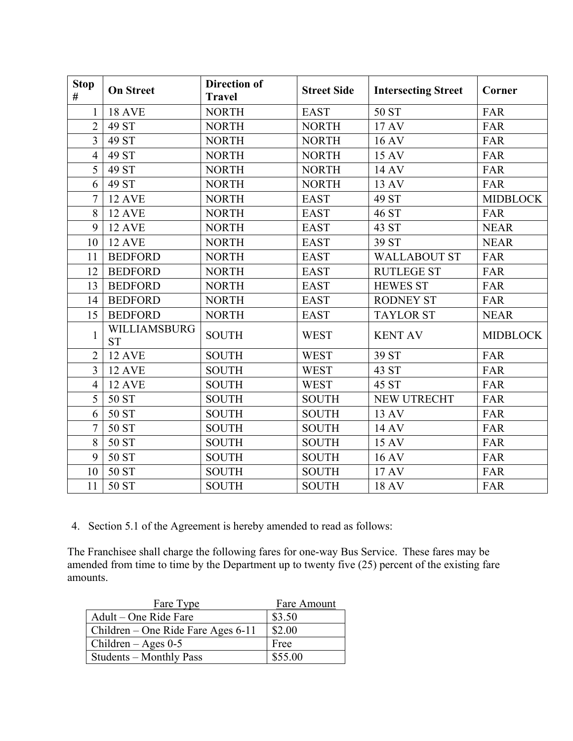| <b>Stop</b><br># | <b>On Street</b>          | <b>Direction of</b><br><b>Travel</b> | <b>Street Side</b> | <b>Intersecting Street</b> | Corner          |
|------------------|---------------------------|--------------------------------------|--------------------|----------------------------|-----------------|
| $\mathbf{1}$     | <b>18 AVE</b>             | <b>NORTH</b>                         | <b>EAST</b>        | 50 ST                      | <b>FAR</b>      |
| $\overline{2}$   | 49 ST                     | <b>NORTH</b>                         | <b>NORTH</b>       | 17 AV                      | <b>FAR</b>      |
| $\overline{3}$   | 49 ST                     | <b>NORTH</b>                         | <b>NORTH</b>       | 16 AV                      | <b>FAR</b>      |
| $\overline{4}$   | 49 ST                     | <b>NORTH</b>                         | <b>NORTH</b>       | 15 AV                      | <b>FAR</b>      |
| $\overline{5}$   | 49 ST                     | <b>NORTH</b>                         | <b>NORTH</b>       | 14 AV                      | <b>FAR</b>      |
| 6                | 49 ST                     | <b>NORTH</b>                         | <b>NORTH</b>       | 13 AV                      | <b>FAR</b>      |
| $\overline{7}$   | <b>12 AVE</b>             | <b>NORTH</b>                         | <b>EAST</b>        | 49 ST                      | <b>MIDBLOCK</b> |
| 8                | <b>12 AVE</b>             | <b>NORTH</b>                         | <b>EAST</b>        | 46 ST                      | <b>FAR</b>      |
| 9                | <b>12 AVE</b>             | <b>NORTH</b>                         | <b>EAST</b>        | 43 ST                      | <b>NEAR</b>     |
| 10               | <b>12 AVE</b>             | <b>NORTH</b>                         | <b>EAST</b>        | 39 ST                      | <b>NEAR</b>     |
| 11               | <b>BEDFORD</b>            | <b>NORTH</b>                         | <b>EAST</b>        | <b>WALLABOUT ST</b>        | <b>FAR</b>      |
| 12               | <b>BEDFORD</b>            | <b>NORTH</b>                         | <b>EAST</b>        | <b>RUTLEGE ST</b>          | <b>FAR</b>      |
| 13               | <b>BEDFORD</b>            | <b>NORTH</b>                         | <b>EAST</b>        | <b>HEWES ST</b>            | <b>FAR</b>      |
| 14               | <b>BEDFORD</b>            | <b>NORTH</b>                         | <b>EAST</b>        | <b>RODNEY ST</b>           | FAR             |
| 15               | <b>BEDFORD</b>            | <b>NORTH</b>                         | <b>EAST</b>        | <b>TAYLOR ST</b>           | <b>NEAR</b>     |
| $\mathbf{1}$     | WILLIAMSBURG<br><b>ST</b> | <b>SOUTH</b>                         | <b>WEST</b>        | <b>KENT AV</b>             | <b>MIDBLOCK</b> |
| $\overline{2}$   | <b>12 AVE</b>             | <b>SOUTH</b>                         | <b>WEST</b>        | 39 ST                      | <b>FAR</b>      |
| $\overline{3}$   | <b>12 AVE</b>             | <b>SOUTH</b>                         | <b>WEST</b>        | 43 ST                      | <b>FAR</b>      |
| $\overline{4}$   | <b>12 AVE</b>             | <b>SOUTH</b>                         | <b>WEST</b>        | 45 ST                      | <b>FAR</b>      |
| 5                | 50 ST                     | <b>SOUTH</b>                         | <b>SOUTH</b>       | NEW UTRECHT                | <b>FAR</b>      |
| 6                | 50 ST                     | <b>SOUTH</b>                         | <b>SOUTH</b>       | 13 AV                      | <b>FAR</b>      |
| $\overline{7}$   | 50 ST                     | <b>SOUTH</b>                         | <b>SOUTH</b>       | 14 AV                      | <b>FAR</b>      |
| 8                | 50 ST                     | <b>SOUTH</b>                         | <b>SOUTH</b>       | 15 AV                      | <b>FAR</b>      |
| 9                | 50 ST                     | <b>SOUTH</b>                         | <b>SOUTH</b>       | 16 AV                      | FAR             |
| 10               | 50 ST                     | <b>SOUTH</b>                         | <b>SOUTH</b>       | 17 AV                      | <b>FAR</b>      |
| 11               | 50 ST                     | <b>SOUTH</b>                         | <b>SOUTH</b>       | 18 AV                      | FAR             |

4. Section 5.1 of the Agreement is hereby amended to read as follows:

The Franchisee shall charge the following fares for one-way Bus Service. These fares may be amended from time to time by the Department up to twenty five (25) percent of the existing fare amounts.

| Fare Type                          | Fare Amount |
|------------------------------------|-------------|
| Adult – One Ride Fare              | \$3.50      |
| Children – One Ride Fare Ages 6-11 | \$2.00      |
| Children – Ages $0-5$              | Free        |
| Students – Monthly Pass            | \$55.00     |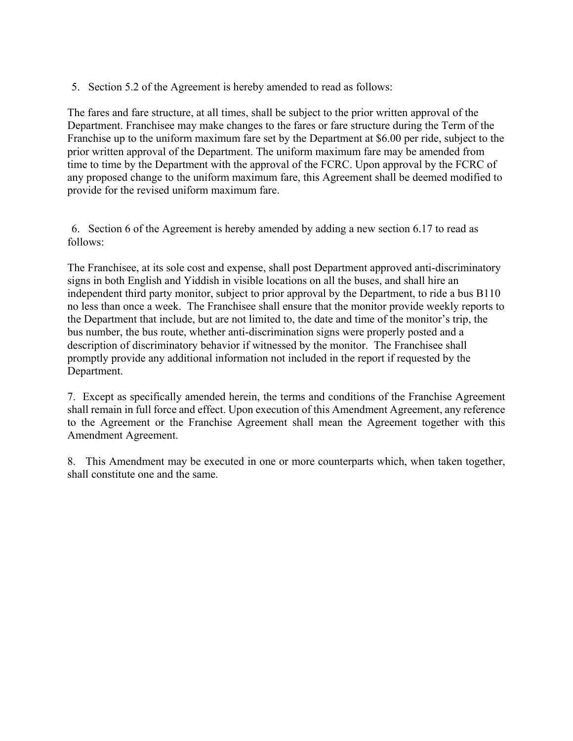5. Section 5.2 of the Agreement is hereby amended to read as follows:

The fares and fare structure, at all times, shall be subject to the prior written approval of the Department. Franchisee may make changes to the fares or fare structure during the Term of the Franchise up to the uniform maximum fare set by the Department at \$6.00 per ride, subject to the prior written approval of the Department. The uniform maximum fare may be amended from time to time by the Department with the approval of the FCRC. Upon approval by the FCRC of any proposed change to the uniform maximum fare, this Agreement shall be deemed modified to provide for the revised uniform maximum fare.

6. Section 6 of the Agreement is hereby amended by adding a new section 6.17 to read as follows:

The Franchisee, at its sole cost and expense, shall post Department approved anti-discriminatory signs in both English and Yiddish in visible locations on all the buses, and shall hire an independent third party monitor, subject to prior approval by the Department, to ride a bus B110 no less than once a week. The Franchisee shall ensure that the monitor provide weekly reports to the Department that include, but are not limited to, the date and time of the monitor's trip, the bus number, the bus route, whether anti-discrimination signs were properly posted and a description of discriminatory behavior if witnessed by the monitor. The Franchisee shall promptly provide any additional information not included in the report if requested by the Department.

7. Except as specifically amended herein, the terms and conditions of the Franchise Agreement shall remain in full force and effect. Upon execution of this Amendment Agreement, any reference to the Agreement or the Franchise Agreement shall mean the Agreement together with this Amendment Agreement.

8. This Amendment may be executed in one or more counterparts which, when taken together, shall constitute one and the same.